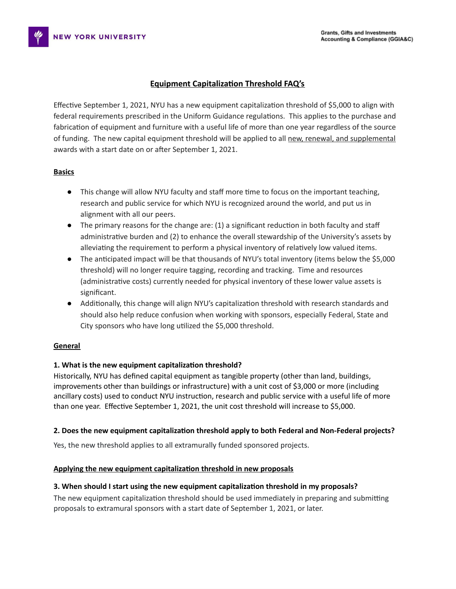# **Equipment Capitalization Threshold FAQ's**

Effective September 1, 2021, NYU has a new equipment capitalization threshold of \$5,000 to align with federal requirements prescribed in the Uniform Guidance regulations. This applies to the purchase and fabrication of equipment and furniture with a useful life of more than one year regardless of the source of funding. The new capital equipment threshold will be applied to all new, renewal, and supplemental awards with a start date on or after September 1, 2021.

### **Basics**

- This change will allow NYU faculty and staff more time to focus on the important teaching, research and public service for which NYU is recognized around the world, and put us in alignment with all our peers.
- $\bullet$  The primary reasons for the change are: (1) a significant reduction in both faculty and staff administrative burden and (2) to enhance the overall stewardship of the University's assets by alleviating the requirement to perform a physical inventory of relatively low valued items.
- The anticipated impact will be that thousands of NYU's total inventory (items below the \$5,000 threshold) will no longer require tagging, recording and tracking. Time and resources (administrative costs) currently needed for physical inventory of these lower value assets is significant.
- Additionally, this change will align NYU's capitalization threshold with research standards and should also help reduce confusion when working with sponsors, especially Federal, State and City sponsors who have long utilized the \$5,000 threshold.

#### **General**

# **1. What is the new equipment capitalization threshold?**

Historically, NYU has defined capital equipment as tangible property (other than land, buildings, improvements other than buildings or infrastructure) with a unit cost of \$3,000 or more (including ancillary costs) used to conduct NYU instruction, research and public service with a useful life of more than one year. Effective September 1, 2021, the unit cost threshold will increase to \$5,000.

#### **2. Does the new equipment capitalization threshold apply to both Federal and Non-Federal projects?**

Yes, the new threshold applies to all extramurally funded sponsored projects.

#### **Applying the new equipment capitalization threshold in new proposals**

#### **3. When should I start using the new equipment capitalization threshold in my proposals?**

The new equipment capitalization threshold should be used immediately in preparing and submitting proposals to extramural sponsors with a start date of September 1, 2021, or later.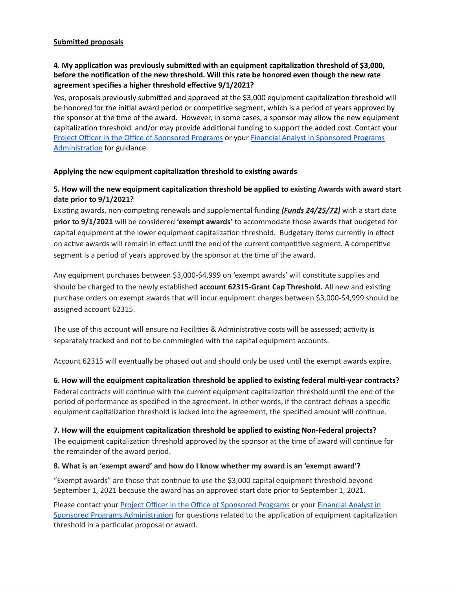### **Submitted proposals**

## **4. My application was previously submitted with an equipment capitalization threshold of \$3,000, before the notification of the new threshold. Will this rate be honored even though the new rate agreement specifies a higher threshold effective 9/1/2021?**

Yes, proposals previously submitted and approved at the \$3,000 equipment capitalization threshold will be honored for the initial award period or competitive segment, which is a period of years approved by the sponsor at the time of the award. However, in some cases, a sponsor may allow the new equipment capitalization threshold and/or may provide additional funding to support the added cost. Contact your Project Officer in the Office of [Sponsored](https://www.nyu.edu/research/resources-and-support-offices/sponsored-programs/contacts/team-assignments.html) Programs or your Financial Analyst in [Sponsored](https://www.nyu.edu/research/resources-and-support-offices/sponsored-programs-administration-handbook/spa-contacts.html) Programs [Administration](https://www.nyu.edu/research/resources-and-support-offices/sponsored-programs-administration-handbook/spa-contacts.html) for guidance.

#### **Applying the new equipment capitalization threshold to existing awards**

## **5. How will the new equipment capitalization threshold be applied to existing Awards with award start date prior to 9/1/2021?**

Existing awards, non-competing renewals and supplemental funding *(Funds 24/25/72)* with a start date **prior to 9/1/2021** will be considered **'exempt awards'** to accommodate those awards that budgeted for capital equipment at the lower equipment capitalization threshold. Budgetary items currently in effect on active awards will remain in effect until the end of the current competitive segment. A competitive segment is a period of years approved by the sponsor at the time of the award.

Any equipment purchases between \$3,000-\$4,999 on 'exempt awards' will constitute supplies and should be charged to the newly established **account 62315-Grant Cap Threshold.** All new and existing purchase orders on exempt awards that will incur equipment charges between \$3,000-\$4,999 should be assigned account 62315.

The use of this account will ensure no Facilities & Administrative costs will be assessed; activity is separately tracked and not to be commingled with the capital equipment accounts.

Account 62315 will eventually be phased out and should only be used until the exempt awards expire.

**6. How will the equipment capitalization threshold be applied to existing federal multi-year contracts?** Federal contracts will continue with the current equipment capitalization threshold until the end of the period of performance as specified in the agreement. In other words, if the contract defines a specific equipment capitalization threshold is locked into the agreement, the specified amount will continue.

#### **7. How will the equipment capitalization threshold be applied to existing Non-Federal projects?**

The equipment capitalization threshold approved by the sponsor at the time of award will continue for the remainder of the award period.

#### **8. What is an 'exempt award' and how do I know whether my award is an 'exempt award'?**

"Exempt awards" are those that continue to use the \$3,000 capital equipment threshold beyond September 1, 2021 because the award has an approved start date prior to September 1, 2021.

Please contact your Project Officer in the Office of [Sponsored](https://www.nyu.edu/research/resources-and-support-offices/sponsored-programs/contacts/team-assignments.html) Programs or your [Financial](https://www.nyu.edu/research/resources-and-support-offices/sponsored-programs-administration-handbook/spa-contacts.html) Analyst in Sponsored Programs [Administration](https://www.nyu.edu/research/resources-and-support-offices/sponsored-programs-administration-handbook/spa-contacts.html) for questions related to the application of equipment capitalization threshold in a particular proposal or award.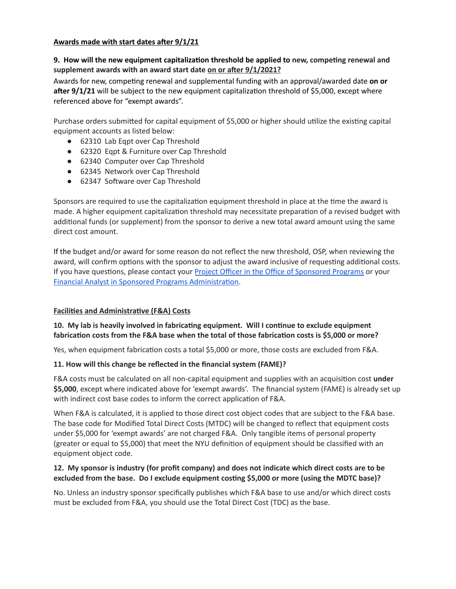### **Awards made with start dates after 9/1/21**

# **9. How will the new equipment capitalization threshold be applied to new, competing renewal and supplement awards with an award start date on or after 9/1/2021?**

Awards for new, competing renewal and supplemental funding with an approval/awarded date **on or after 9/1/21** will be subject to the new equipment capitalization threshold of \$5,000, except where referenced above for "exempt awards".

Purchase orders submitted for capital equipment of \$5,000 or higher should utilize the existing capital equipment accounts as listed below:

- 62310 Lab Eqpt over Cap Threshold
- 62320 Eqpt & Furniture over Cap Threshold
- 62340 Computer over Cap Threshold
- 62345 Network over Cap Threshold
- 62347 Software over Cap Threshold

Sponsors are required to use the capitalization equipment threshold in place at the time the award is made. A higher equipment capitalization threshold may necessitate preparation of a revised budget with additional funds (or supplement) from the sponsor to derive a new total award amount using the same direct cost amount.

If the budget and/or award for some reason do not reflect the new threshold, OSP, when reviewing the award, will confirm options with the sponsor to adjust the award inclusive of requesting additional costs. If you have questions, please contact your Project Officer in the Office of [Sponsored](https://www.nyu.edu/research/resources-and-support-offices/sponsored-programs/contacts/team-assignments.html) Programs or your Financial Analyst in Sponsored Programs [Administration](https://www.nyu.edu/research/resources-and-support-offices/sponsored-programs-administration-handbook/spa-contacts.html).

# **Facilities and Administrative (F&A) Costs**

# **10. My lab is heavily involved in fabricating equipment. Will I continue to exclude equipment fabrication costs from the F&A base when the total of those fabrication costs is \$5,000 or more?**

Yes, when equipment fabrication costs a total \$5,000 or more, those costs are excluded from F&A.

# **11. How will this change be reflected in the financial system (FAME)?**

F&A costs must be calculated on all non-capital equipment and supplies with an acquisition cost **under \$5,000**, except where indicated above for 'exempt awards'. The financial system (FAME) is already set up with indirect cost base codes to inform the correct application of F&A.

When F&A is calculated, it is applied to those direct cost object codes that are subject to the F&A base. The base code for Modified Total Direct Costs (MTDC) will be changed to reflect that equipment costs under \$5,000 for 'exempt awards' are not charged F&A. Only tangible items of personal property (greater or equal to \$5,000) that meet the NYU definition of equipment should be classified with an equipment object code.

### **12. My sponsor is industry (for profit company) and does not indicate which direct costs are to be excluded from the base. Do I exclude equipment costing \$5,000 or more (using the MDTC base)?**

No. Unless an industry sponsor specifically publishes which F&A base to use and/or which direct costs must be excluded from F&A, you should use the Total Direct Cost (TDC) as the base.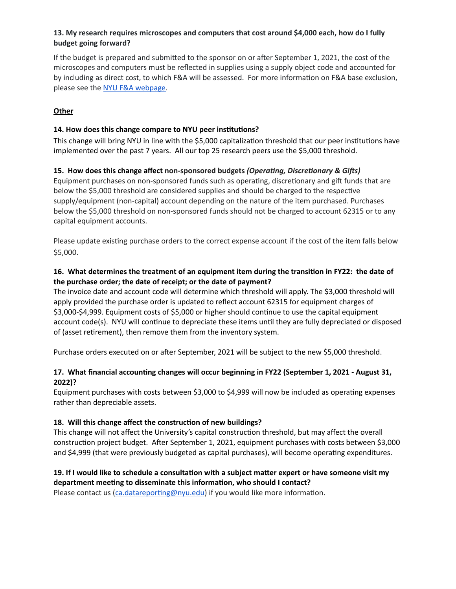# **13. My research requires microscopes and computers that cost around \$4,000 each, how do I fully budget going forward?**

If the budget is prepared and submitted to the sponsor on or after September 1, 2021, the cost of the microscopes and computers must be reflected in supplies using a supply object code and accounted for by including as direct cost, to which F&A will be assessed. For more information on F&A base exclusion, please see the NYU F&A [webpage.](https://www.nyu.edu/research/resources-and-support-offices/sponsored-programs/proposal-development/nyu-administrative-information-for-proposal-preparation/f-and-a-salary.html)

# **Other**

### **14. How does this change compare to NYU peer institutions?**

This change will bring NYU in line with the \$5,000 capitalization threshold that our peer institutions have implemented over the past 7 years. All our top 25 research peers use the \$5,000 threshold.

### **15. How does this change affect non-sponsored budgets** *(Operating, Discretionary & Gifts)*

Equipment purchases on non-sponsored funds such as operating, discretionary and gift funds that are below the \$5,000 threshold are considered supplies and should be charged to the respective supply/equipment (non-capital) account depending on the nature of the item purchased. Purchases below the \$5,000 threshold on non-sponsored funds should not be charged to account 62315 or to any capital equipment accounts.

Please update existing purchase orders to the correct expense account if the cost of the item falls below \$5,000.

## **16. What determines the treatment of an equipment item during the transition in FY22: the date of the purchase order; the date of receipt; or the date of payment?**

The invoice date and account code will determine which threshold will apply. The \$3,000 threshold will apply provided the purchase order is updated to reflect account 62315 for equipment charges of \$3,000-\$4,999. Equipment costs of \$5,000 or higher should continue to use the capital equipment account code(s). NYU will continue to depreciate these items until they are fully depreciated or disposed of (asset retirement), then remove them from the inventory system.

Purchase orders executed on or after September, 2021 will be subject to the new \$5,000 threshold.

# **17. What financial accounting changes will occur beginning in FY22 (September 1, 2021 - August 31, 2022)?**

Equipment purchases with costs between \$3,000 to \$4,999 will now be included as operating expenses rather than depreciable assets.

#### **18. Will this change affect the construction of new buildings?**

This change will not affect the University's capital construction threshold, but may affect the overall construction project budget. After September 1, 2021, equipment purchases with costs between \$3,000 and \$4,999 (that were previously budgeted as capital purchases), will become operating expenditures.

# 19. If I would like to schedule a consultation with a subject matter expert or have someone visit my **department meeting to disseminate this information, who should I contact?**

Please contact us  $(ca.datareporting@nyu.edu)$  $(ca.datareporting@nyu.edu)$  if you would like more information.